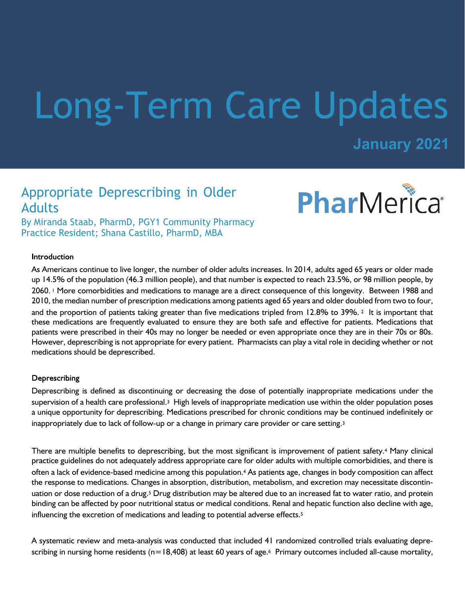# Long-Term Care Updates

## **January 2021**

PharMerica®

## Appropriate Deprescribing in Older Adults

By Miranda Staab, PharmD, PGY1 Community Pharmacy Practice Resident; Shana Castillo, PharmD, MBA

#### Introduction

As Americans continue to live longer, the number of older adults increases. In 2014, adults aged 65 years or older made up 14.5% of the population (46.3 million people), and that number is expected to reach 23.5%, or 98 million people, by 2060. 1 More comorbidities and medications to manage are a direct consequence of this longevity. Between 1988 and 2010, the median number of prescription medications among patients aged 65 years and older doubled from two to four, and the proportion of patients taking greater than five medications tripled from 12.8% to 39%. 2 It is important that these medications are frequently evaluated to ensure they are both safe and effective for patients. Medications that patients were prescribed in their 40s may no longer be needed or even appropriate once they are in their 70s or 80s. However, deprescribing is not appropriate for every patient. Pharmacists can play a vital role in deciding whether or not medications should be deprescribed.

#### Deprescribing

Deprescribing is defined as discontinuing or decreasing the dose of potentially inappropriate medications under the supervision of a health care professional.<sup>3</sup> High levels of inappropriate medication use within the older population poses a unique opportunity for deprescribing. Medications prescribed for chronic conditions may be continued indefinitely or inappropriately due to lack of follow-up or a change in primary care provider or care setting.<sup>3</sup>

There are multiple benefits to deprescribing, but the most significant is improvement of patient safety.<sup>4</sup> Many clinical practice guidelines do not adequately address appropriate care for older adults with multiple comorbidities, and there is often a lack of evidence-based medicine among this population.4 As patients age, changes in body composition can affect the response to medications. Changes in absorption, distribution, metabolism, and excretion may necessitate discontinuation or dose reduction of a drug.5 Drug distribution may be altered due to an increased fat to water ratio, and protein binding can be affected by poor nutritional status or medical conditions. Renal and hepatic function also decline with age, influencing the excretion of medications and leading to potential adverse effects.<sup>5</sup>

A systematic review and meta-analysis was conducted that included 41 randomized controlled trials evaluating deprescribing in nursing home residents ( $n=18,408$ ) at least 60 years of age.<sup>6</sup> Primary outcomes included all-cause mortality,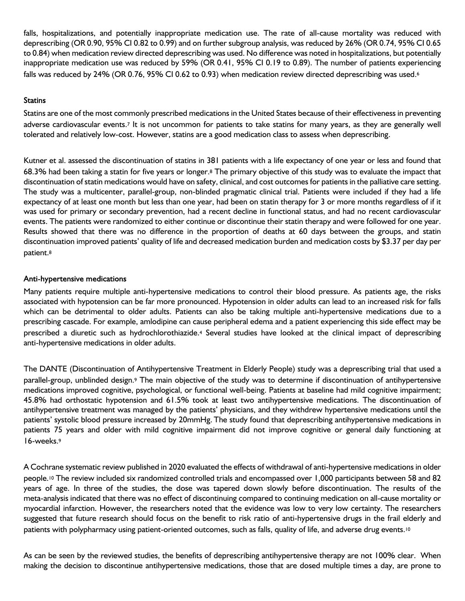falls, hospitalizations, and potentially inappropriate medication use. The rate of all-cause mortality was reduced with deprescribing (OR 0.90, 95% CI 0.82 to 0.99) and on further subgroup analysis, was reduced by 26% (OR 0.74, 95% CI 0.65 to 0.84) when medication review directed deprescribing was used. No difference was noted in hospitalizations, but potentially inappropriate medication use was reduced by 59% (OR 0.41, 95% CI 0.19 to 0.89). The number of patients experiencing falls was reduced by 24% (OR 0.76, 95% CI 0.62 to 0.93) when medication review directed deprescribing was used.<sup>6</sup>

#### **Statins**

Statins are one of the most commonly prescribed medications in the United States because of their effectiveness in preventing adverse cardiovascular events.7 It is not uncommon for patients to take statins for many years, as they are generally well tolerated and relatively low-cost. However, statins are a good medication class to assess when deprescribing.

Kutner et al. assessed the discontinuation of statins in 381 patients with a life expectancy of one year or less and found that 68.3% had been taking a statin for five years or longer.8 The primary objective of this study was to evaluate the impact that discontinuation of statin medications would have on safety, clinical, and cost outcomes for patients in the palliative care setting. The study was a multicenter, parallel-group, non-blinded pragmatic clinical trial. Patients were included if they had a life expectancy of at least one month but less than one year, had been on statin therapy for 3 or more months regardless of if it was used for primary or secondary prevention, had a recent decline in functional status, and had no recent cardiovascular events. The patients were randomized to either continue or discontinue their statin therapy and were followed for one year. Results showed that there was no difference in the proportion of deaths at 60 days between the groups, and statin discontinuation improved patients' quality of life and decreased medication burden and medication costs by \$3.37 per day per patient.<sup>8</sup>

#### Anti-hypertensive medications

Many patients require multiple anti-hypertensive medications to control their blood pressure. As patients age, the risks associated with hypotension can be far more pronounced. Hypotension in older adults can lead to an increased risk for falls which can be detrimental to older adults. Patients can also be taking multiple anti-hypertensive medications due to a prescribing cascade. For example, amlodipine can cause peripheral edema and a patient experiencing this side effect may be prescribed a diuretic such as hydrochlorothiazide.4 Several studies have looked at the clinical impact of deprescribing anti-hypertensive medications in older adults.

The DANTE (Discontinuation of Antihypertensive Treatment in Elderly People) study was a deprescribing trial that used a parallel-group, unblinded design.9 The main objective of the study was to determine if discontinuation of antihypertensive medications improved cognitive, psychological, or functional well-being. Patients at baseline had mild cognitive impairment; 45.8% had orthostatic hypotension and 61.5% took at least two antihypertensive medications. The discontinuation of antihypertensive treatment was managed by the patients' physicians, and they withdrew hypertensive medications until the patients' systolic blood pressure increased by 20mmHg. The study found that deprescribing antihypertensive medications in patients 75 years and older with mild cognitive impairment did not improve cognitive or general daily functioning at 16-weeks.<sup>9</sup>

A Cochrane systematic review published in 2020 evaluated the effects of withdrawal of anti-hypertensive medications in older people.10 The review included six randomized controlled trials and encompassed over 1,000 participants between 58 and 82 years of age. In three of the studies, the dose was tapered down slowly before discontinuation. The results of the meta-analysis indicated that there was no effect of discontinuing compared to continuing medication on all-cause mortality or myocardial infarction. However, the researchers noted that the evidence was low to very low certainty. The researchers suggested that future research should focus on the benefit to risk ratio of anti-hypertensive drugs in the frail elderly and patients with polypharmacy using patient-oriented outcomes, such as falls, quality of life, and adverse drug events.<sup>10</sup>

As can be seen by the reviewed studies, the benefits of deprescribing antihypertensive therapy are not 100% clear. When making the decision to discontinue antihypertensive medications, those that are dosed multiple times a day, are prone to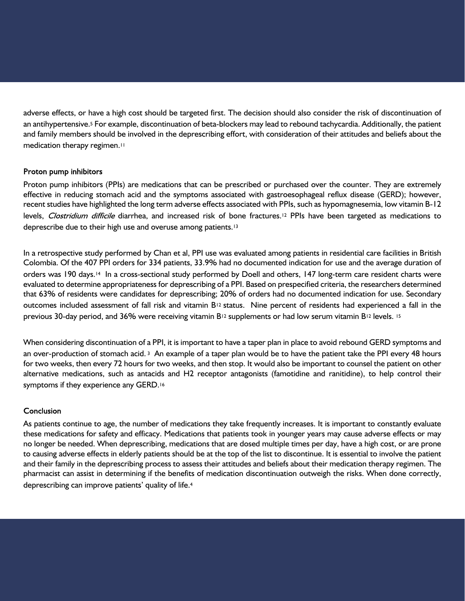adverse effects, or have a high cost should be targeted first. The decision should also consider the risk of discontinuation of an antihypertensive.5 For example, discontinuation of beta-blockers may lead to rebound tachycardia. Additionally, the patient and family members should be involved in the deprescribing effort, with consideration of their attitudes and beliefs about the medication therapy regimen.<sup>11</sup>

#### Proton pump inhibitors

Proton pump inhibitors (PPIs) are medications that can be prescribed or purchased over the counter. They are extremely effective in reducing stomach acid and the symptoms associated with gastroesophageal reflux disease (GERD); however, recent studies have highlighted the long term adverse effects associated with PPIs, such as hypomagnesemia, low vitamin B-12 levels, Clostridium difficile diarrhea, and increased risk of bone fractures.<sup>12</sup> PPIs have been targeted as medications to deprescribe due to their high use and overuse among patients.<sup>13</sup>

In a retrospective study performed by Chan et al, PPI use was evaluated among patients in residential care facilities in British Colombia. Of the 407 PPI orders for 334 patients, 33.9% had no documented indication for use and the average duration of orders was 190 days.14 In a cross-sectional study performed by Doell and others, 147 long-term care resident charts were evaluated to determine appropriateness for deprescribing of a PPI. Based on prespecified criteria, the researchers determined that 63% of residents were candidates for deprescribing; 20% of orders had no documented indication for use. Secondary outcomes included assessment of fall risk and vitamin B<sup>12</sup> status. Nine percent of residents had experienced a fall in the previous 30-day period, and 36% were receiving vitamin B12 supplements or had low serum vitamin B12 levels. <sup>15</sup>

When considering discontinuation of a PPI, it is important to have a taper plan in place to avoid rebound GERD symptoms and an over-production of stomach acid.<sup>3</sup> An example of a taper plan would be to have the patient take the PPI every 48 hours for two weeks, then every 72 hours for two weeks, and then stop. It would also be important to counsel the patient on other alternative medications, such as antacids and H2 receptor antagonists (famotidine and ranitidine), to help control their symptoms if they experience any GERD.<sup>16</sup>

### Conclusion

As patients continue to age, the number of medications they take frequently increases. It is important to constantly evaluate these medications for safety and efficacy. Medications that patients took in younger years may cause adverse effects or may no longer be needed. When deprescribing, medications that are dosed multiple times per day, have a high cost, or are prone to causing adverse effects in elderly patients should be at the top of the list to discontinue. It is essential to involve the patient and their family in the deprescribing process to assess their attitudes and beliefs about their medication therapy regimen. The pharmacist can assist in determining if the benefits of medication discontinuation outweigh the risks. When done correctly, deprescribing can improve patients' quality of life.4